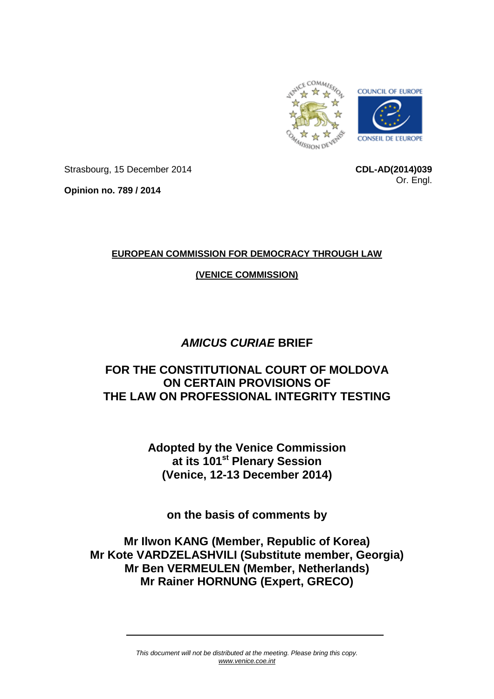

Strasbourg, 15 December 2014

**CDL-AD(2014)039** Or. Engl.

**Opinion no. 789 / 2014**

## **EUROPEAN COMMISSION FOR DEMOCRACY THROUGH LAW**

## **(VENICE COMMISSION)**

# *AMICUS CURIAE* **BRIEF**

# **FOR THE CONSTITUTIONAL COURT OF MOLDOVA ON CERTAIN PROVISIONS OF THE LAW ON PROFESSIONAL INTEGRITY TESTING**

**Adopted by the Venice Commission at its 101st Plenary Session (Venice, 12-13 December 2014)**

**on the basis of comments by**

**Mr Ilwon KANG (Member, Republic of Korea) Mr Kote VARDZELASHVILI (Substitute member, Georgia) Mr Ben VERMEULEN (Member, Netherlands) Mr Rainer HORNUNG (Expert, GRECO)**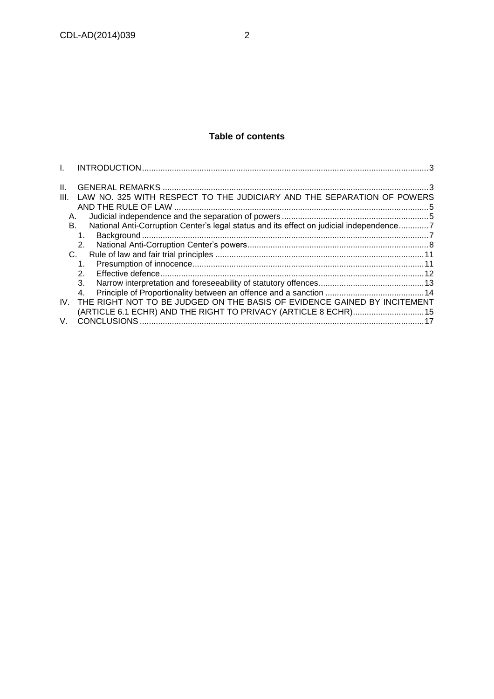#### **Table of contents**

| Ш.   |                                                                                         |  |
|------|-----------------------------------------------------------------------------------------|--|
| III. | LAW NO. 325 WITH RESPECT TO THE JUDICIARY AND THE SEPARATION OF POWERS                  |  |
| А.   |                                                                                         |  |
| В.   | National Anti-Corruption Center's legal status and its effect on judicial independence7 |  |
|      | 1.<br>2.                                                                                |  |
| C.   |                                                                                         |  |
|      | 1.<br>$\mathcal{P}$                                                                     |  |
|      | 3.                                                                                      |  |
|      | 4.                                                                                      |  |
| IV.  | THE RIGHT NOT TO BE JUDGED ON THE BASIS OF EVIDENCE GAINED BY INCITEMENT                |  |
|      | (ARTICLE 6.1 ECHR) AND THE RIGHT TO PRIVACY (ARTICLE 8 ECHR) 15                         |  |
| V.   |                                                                                         |  |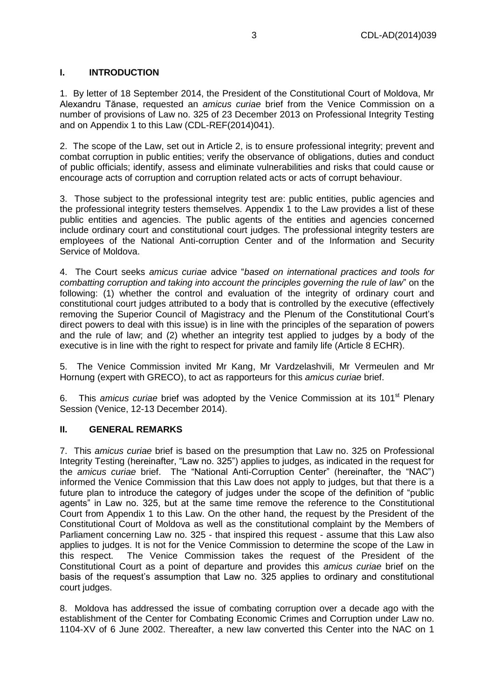#### <span id="page-2-0"></span>**I. INTRODUCTION**

1. By letter of 18 September 2014, the President of the Constitutional Court of Moldova, Mr Alexandru Tănase, requested an *amicus curiae* brief from the Venice Commission on a number of provisions of Law no. 325 of 23 December 2013 on Professional Integrity Testing and on Appendix 1 to this Law (CDL-REF(2014)041).

2. The scope of the Law, set out in Article 2, is to ensure professional integrity; prevent and combat corruption in public entities; verify the observance of obligations, duties and conduct of public officials; identify, assess and eliminate vulnerabilities and risks that could cause or encourage acts of corruption and corruption related acts or acts of corrupt behaviour.

3. Those subject to the professional integrity test are: public entities, public agencies and the professional integrity testers themselves. Appendix 1 to the Law provides a list of these public entities and agencies. The public agents of the entities and agencies concerned include ordinary court and constitutional court judges. The professional integrity testers are employees of the National Anti-corruption Center and of the Information and Security Service of Moldova.

4. The Court seeks *amicus curiae* advice "*based on international practices and tools for combatting corruption and taking into account the principles governing the rule of law*" on the following: (1) whether the control and evaluation of the integrity of ordinary court and constitutional court judges attributed to a body that is controlled by the executive (effectively removing the Superior Council of Magistracy and the Plenum of the Constitutional Court's direct powers to deal with this issue) is in line with the principles of the separation of powers and the rule of law; and (2) whether an integrity test applied to judges by a body of the executive is in line with the right to respect for private and family life (Article 8 ECHR).

5. The Venice Commission invited Mr Kang, Mr Vardzelashvili, Mr Vermeulen and Mr Hornung (expert with GRECO), to act as rapporteurs for this *amicus curiae* brief.

6. This *amicus curiae* brief was adopted by the Venice Commission at its 101<sup>st</sup> Plenary Session (Venice, 12-13 December 2014).

#### <span id="page-2-1"></span>**II. GENERAL REMARKS**

7. This *amicus curiae* brief is based on the presumption that Law no. 325 on Professional Integrity Testing (hereinafter, "Law no. 325") applies to judges, as indicated in the request for the *amicus curiae* brief. The "National Anti-Corruption Center" (hereinafter, the "NAC") informed the Venice Commission that this Law does not apply to judges, but that there is a future plan to introduce the category of judges under the scope of the definition of "public agents" in Law no. 325, but at the same time remove the reference to the Constitutional Court from Appendix 1 to this Law. On the other hand, the request by the President of the Constitutional Court of Moldova as well as the constitutional complaint by the Members of Parliament concerning Law no. 325 - that inspired this request - assume that this Law also applies to judges. It is not for the Venice Commission to determine the scope of the Law in this respect. The Venice Commission takes the request of the President of the Constitutional Court as a point of departure and provides this *amicus curiae* brief on the basis of the request's assumption that Law no. 325 applies to ordinary and constitutional court judges.

8. Moldova has addressed the issue of combating corruption over a decade ago with the establishment of the Center for Combating Economic Crimes and Corruption under Law no. 1104-XV of 6 June 2002. Thereafter, a new law converted this Center into the NAC on 1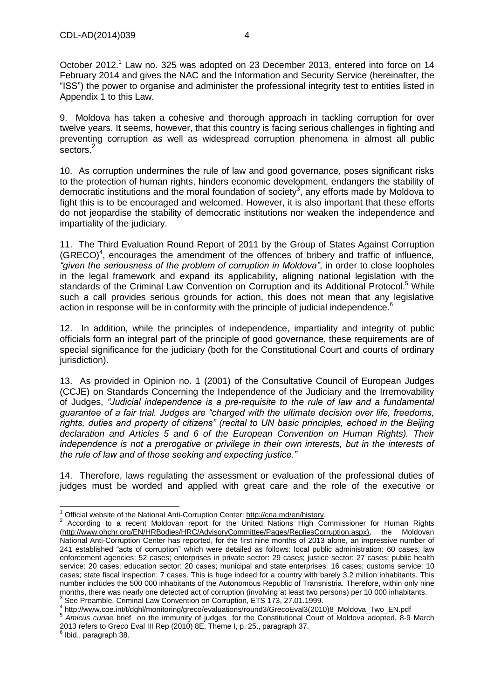October 2012.<sup>1</sup> Law no. 325 was adopted on 23 December 2013, entered into force on 14 February 2014 and gives the NAC and the Information and Security Service (hereinafter, the "ISS") the power to organise and administer the professional integrity test to entities listed in Appendix 1 to this Law.

9. Moldova has taken a cohesive and thorough approach in tackling corruption for over twelve years. It seems, however, that this country is facing serious challenges in fighting and preventing corruption as well as widespread corruption phenomena in almost all public sectors.<sup>2</sup>

10. As corruption undermines the rule of law and good governance, poses significant risks to the protection of human rights, hinders economic development, endangers the stability of democratic institutions and the moral foundation of society<sup>3</sup>, any efforts made by Moldova to fight this is to be encouraged and welcomed. However, it is also important that these efforts do not jeopardise the stability of democratic institutions nor weaken the independence and impartiality of the judiciary.

11. The Third Evaluation Round Report of 2011 by the Group of States Against Corruption  $(GRECO)<sup>4</sup>$ , encourages the amendment of the offences of bribery and traffic of influence, *"given the seriousness of the problem of corruption in Moldova"*, in order to close loopholes in the legal framework and expand its applicability, aligning national legislation with the standards of the Criminal Law Convention on Corruption and its Additional Protocol.<sup>5</sup> While such a call provides serious grounds for action, this does not mean that any legislative action in response will be in conformity with the principle of judicial independence.<sup>6</sup>

12. In addition, while the principles of independence, impartiality and integrity of public officials form an integral part of the principle of good governance, these requirements are of special significance for the judiciary (both for the Constitutional Court and courts of ordinary jurisdiction).

13. As provided in Opinion no. 1 (2001) of the Consultative Council of European Judges (CCJE) on Standards Concerning the Independence of the Judiciary and the Irremovability of Judges, *"Judicial independence is a pre-requisite to the rule of law and a fundamental guarantee of a fair trial. Judges are "charged with the ultimate decision over life, freedoms, rights, duties and property of citizens" (recital to UN basic principles, echoed in the Beijing declaration and Articles 5 and 6 of the European Convention on Human Rights). Their independence is not a prerogative or privilege in their own interests, but in the interests of the rule of law and of those seeking and expecting justice."*

14. Therefore, laws regulating the assessment or evaluation of the professional duties of judges must be worded and applied with great care and the role of the executive or

j <sup>1</sup> Official website of the National Anti-Corruption Center: [http://cna.md/en/history.](http://cna.md/en/history)

 $2$  According to a recent Moldovan report for the United Nations High Commissioner for Human Rights [\(http://www.ohchr.org/EN/HRBodies/HRC/AdvisoryCommittee/Pages/RepliesCorruption.aspx\),](http://www.ohchr.org/EN/HRBodies/HRC/AdvisoryCommittee/Pages/RepliesCorruption.aspx),%20the) the Moldovan National Anti-Corruption Center has reported, for the first nine months of 2013 alone, an impressive number of 241 established "acts of corruption" which were detailed as follows: local public administration: 60 cases; law enforcement agencies: 52 cases; enterprises in private sector: 29 cases; justice sector: 27 cases; public health service: 20 cases; education sector: 20 cases; municipal and state enterprises: 16 cases; customs service: 10 cases; state fiscal inspection: 7 cases. This is huge indeed for a country with barely 3.2 million inhabitants. This number includes the 500 000 inhabitants of the Autonomous Republic of Transnistria. Therefore, within only nine months, there was nearly one detected act of corruption (involving at least two persons) per 10 000 inhabitants.<br><sup>3</sup> See Preamble, Criminal Law Convention on Corruption, ETS 173, 27.01.1999.

<sup>&</sup>lt;sup>4</sup> [http://www.coe.int/t/dghl/monitoring/greco/evaluations/round3/GrecoEval3\(2010\)8\\_Moldova\\_Two\\_EN.pdf](http://www.coe.int/t/dghl/monitoring/greco/evaluations/round3/GrecoEval3(2010)8_Moldova_Two_EN.pdf)

<sup>5</sup> *Amicus curiae* brief on the immunity of judges for the Constitutional Court of Moldova adopted, 8-9 March 2013 refers to Greco Eval III Rep (2010) 8E, Theme I, p. 25., paragraph 37.<br><sup>6</sup> Ibid., paragraph 38.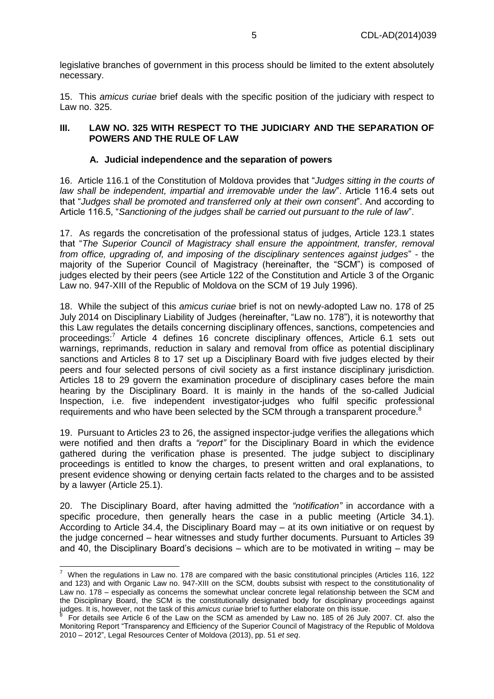legislative branches of government in this process should be limited to the extent absolutely necessary.

15. This *amicus curiae* brief deals with the specific position of the judiciary with respect to Law no. 325.

#### <span id="page-4-0"></span>**III. LAW NO. 325 WITH RESPECT TO THE JUDICIARY AND THE SEPARATION OF POWERS AND THE RULE OF LAW**

#### **A. Judicial independence and the separation of powers**

<span id="page-4-1"></span>16. Article 116.1 of the Constitution of Moldova provides that "*Judges sitting in the courts of law shall be independent, impartial and irremovable under the law*". Article 116.4 sets out that "*Judges shall be promoted and transferred only at their own consent*". And according to Article 116.5, "*Sanctioning of the judges shall be carried out pursuant to the rule of law*".

17. As regards the concretisation of the professional status of judges, Article 123.1 states that "*The Superior Council of Magistracy shall ensure the appointment, transfer, removal from office, upgrading of, and imposing of the disciplinary sentences against judges*" - the majority of the Superior Council of Magistracy (hereinafter, the "SCM") is composed of judges elected by their peers (see Article 122 of the Constitution and Article 3 of the Organic Law no. 947-XIII of the Republic of Moldova on the SCM of 19 July 1996).

18. While the subject of this *amicus curiae* brief is not on newly-adopted Law no. 178 of 25 July 2014 on Disciplinary Liability of Judges (hereinafter, "Law no. 178"), it is noteworthy that this Law regulates the details concerning disciplinary offences, sanctions, competencies and proceedings:<sup>7</sup> Article 4 defines 16 concrete disciplinary offences, Article 6.1 sets out warnings, reprimands, reduction in salary and removal from office as potential disciplinary sanctions and Articles 8 to 17 set up a Disciplinary Board with five judges elected by their peers and four selected persons of civil society as a first instance disciplinary jurisdiction. Articles 18 to 29 govern the examination procedure of disciplinary cases before the main hearing by the Disciplinary Board. It is mainly in the hands of the so-called Judicial Inspection, i.e. five independent investigator-judges who fulfil specific professional requirements and who have been selected by the SCM through a transparent procedure. $8$ 

19. Pursuant to Articles 23 to 26, the assigned inspector-judge verifies the allegations which were notified and then drafts a *"report"* for the Disciplinary Board in which the evidence gathered during the verification phase is presented. The judge subject to disciplinary proceedings is entitled to know the charges, to present written and oral explanations, to present evidence showing or denying certain facts related to the charges and to be assisted by a lawyer (Article 25.1).

20. The Disciplinary Board, after having admitted the *"notification"* in accordance with a specific procedure, then generally hears the case in a public meeting (Article 34.1). According to Article 34.4, the Disciplinary Board may – at its own initiative or on request by the judge concerned – hear witnesses and study further documents. Pursuant to Articles 39 and 40, the Disciplinary Board's decisions – which are to be motivated in writing – may be

 7 When the regulations in Law no. 178 are compared with the basic constitutional principles (Articles 116, 122 and 123) and with Organic Law no. 947-XIII on the SCM, doubts subsist with respect to the constitutionality of Law no. 178 – especially as concerns the somewhat unclear concrete legal relationship between the SCM and the Disciplinary Board, the SCM is the constitutionally designated body for disciplinary proceedings against judges. It is, however, not the task of this *amicus curiae* brief to further elaborate on this issue. 8

For details see Article 6 of the Law on the SCM as amended by Law no. 185 of 26 July 2007. Cf. also the Monitoring Report "Transparency and Efficiency of the Superior Council of Magistracy of the Republic of Moldova 2010 – 2012", Legal Resources Center of Moldova (2013), pp. 51 *et seq*.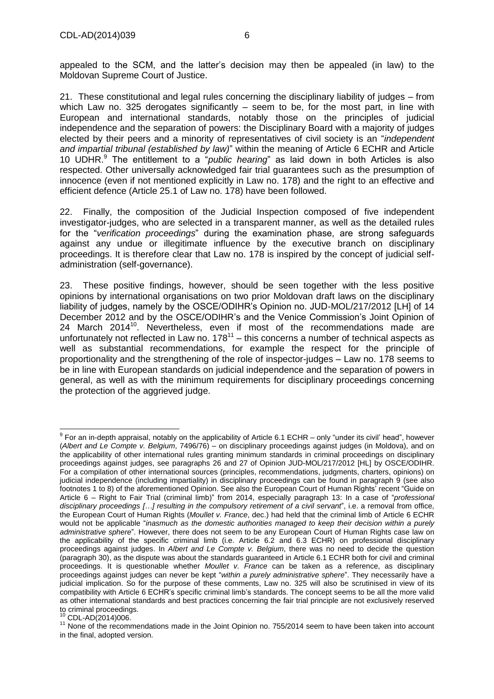appealed to the SCM, and the latter's decision may then be appealed (in law) to the Moldovan Supreme Court of Justice.

21. These constitutional and legal rules concerning the disciplinary liability of judges – from which Law no. 325 derogates significantly – seem to be, for the most part, in line with European and international standards, notably those on the principles of judicial independence and the separation of powers: the Disciplinary Board with a majority of judges elected by their peers and a minority of representatives of civil society is an "*independent and impartial tribunal (established by law)*" within the meaning of Article 6 ECHR and Article 10 UDHR.<sup>9</sup> The entitlement to a "*public hearing*" as laid down in both Articles is also respected. Other universally acknowledged fair trial guarantees such as the presumption of innocence (even if not mentioned explicitly in Law no. 178) and the right to an effective and efficient defence (Article 25.1 of Law no. 178) have been followed.

22. Finally, the composition of the Judicial Inspection composed of five independent investigator-judges, who are selected in a transparent manner, as well as the detailed rules for the "*verification proceedings*" during the examination phase, are strong safeguards against any undue or illegitimate influence by the executive branch on disciplinary proceedings. It is therefore clear that Law no. 178 is inspired by the concept of judicial selfadministration (self-governance).

23. These positive findings, however, should be seen together with the less positive opinions by international organisations on two prior Moldovan draft laws on the disciplinary liability of judges, namely by the OSCE/ODIHR's Opinion no. JUD-MOL/217/2012 [LH] of 14 December 2012 and by the OSCE/ODIHR's and the Venice Commission's Joint Opinion of 24 March 2014 $^{10}$ . Nevertheless, even if most of the recommendations made are unfortunately not reflected in Law no.  $178^{11}$  – this concerns a number of technical aspects as well as substantial recommendations, for example the respect for the principle of proportionality and the strengthening of the role of inspector-judges – Law no. 178 seems to be in line with European standards on judicial independence and the separation of powers in general, as well as with the minimum requirements for disciplinary proceedings concerning the protection of the aggrieved judge.

<sup>10</sup> CDL-AD(2014)006.

 9 For an in-depth appraisal, notably on the applicability of Article 6.1 ECHR – only "under its civil' head", however (*Albert and Le Compte v. Belgium*, 7496/76) – on disciplinary proceedings against judges (in Moldova), and on the applicability of other international rules granting minimum standards in criminal proceedings on disciplinary proceedings against judges, see paragraphs 26 and 27 of Opinion JUD-MOL/217/2012 [HL] by OSCE/ODIHR. For a compilation of other international sources (principles, recommendations, judgments, charters, opinions) on judicial independence (including impartiality) in disciplinary proceedings can be found in paragraph 9 (see also footnotes 1 to 8) of the aforementioned Opinion. See also the European Court of Human Rights' recent "Guide on Article 6 – Right to Fair Trial (criminal limb)" from 2014, especially paragraph 13: In a case of "*professional disciplinary proceedings […] resulting in the compulsory retirement of a civil servant*", i.e. a removal from office, the European Court of Human Rights (*Moullet v. France*, dec.) had held that the criminal limb of Article 6 ECHR would not be applicable "*inasmuch as the domestic authorities managed to keep their decision within a purely administrative sphere*". However, there does not seem to be any European Court of Human Rights case law on the applicability of the specific criminal limb (i.e. Article 6.2 and 6.3 ECHR) on professional disciplinary proceedings against judges. In *Albert and Le Compte v. Belgium*, there was no need to decide the question (paragraph 30), as the dispute was about the standards guaranteed in Article 6.1 ECHR both for civil and criminal proceedings. It is questionable whether *Moullet v. France* can be taken as a reference, as disciplinary proceedings against judges can never be kept "*within a purely administrative sphere*". They necessarily have a judicial implication. So for the purpose of these comments, Law no. 325 will also be scrutinised in view of its compatibility with Article 6 ECHR's specific criminal limb's standards. The concept seems to be all the more valid as other international standards and best practices concerning the fair trial principle are not exclusively reserved to criminal proceedings.

<sup>&</sup>lt;sup>11</sup> None of the recommendations made in the Joint Opinion no. 755/2014 seem to have been taken into account in the final, adopted version.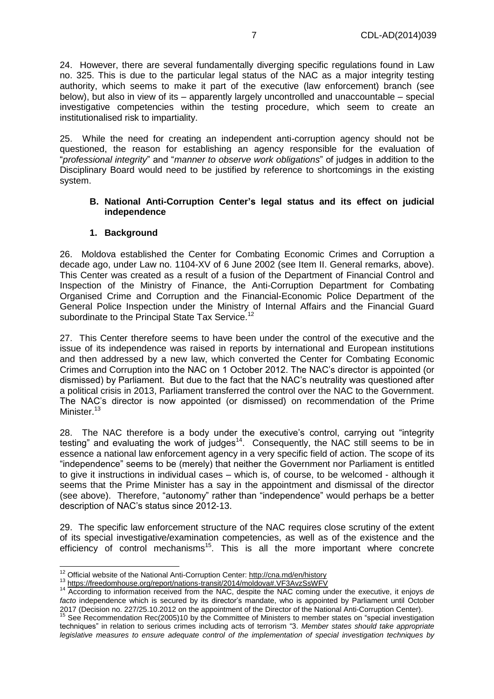24. However, there are several fundamentally diverging specific regulations found in Law no. 325. This is due to the particular legal status of the NAC as a major integrity testing authority, which seems to make it part of the executive (law enforcement) branch (see below), but also in view of its – apparently largely uncontrolled and unaccountable – special investigative competencies within the testing procedure, which seem to create an institutionalised risk to impartiality.

25. While the need for creating an independent anti-corruption agency should not be questioned, the reason for establishing an agency responsible for the evaluation of "*professional integrity*" and "*manner to observe work obligations*" of judges in addition to the Disciplinary Board would need to be justified by reference to shortcomings in the existing system.

#### <span id="page-6-0"></span>**B. National Anti-Corruption Center's legal status and its effect on judicial independence**

#### **1. Background**

<span id="page-6-1"></span>26. Moldova established the Center for Combating Economic Crimes and Corruption a decade ago, under Law no. 1104-XV of 6 June 2002 (see Item II. General remarks, above). This Center was created as a result of a fusion of the Department of Financial Control and Inspection of the Ministry of Finance, the Anti-Corruption Department for Combating Organised Crime and Corruption and the Financial-Economic Police Department of the General Police Inspection under the Ministry of Internal Affairs and the Financial Guard subordinate to the Principal State Tax Service.<sup>12</sup>

27. This Center therefore seems to have been under the control of the executive and the issue of its independence was raised in reports by international and European institutions and then addressed by a new law, which converted the Center for Combating Economic Crimes and Corruption into the NAC on 1 October 2012. The NAC's director is appointed (or dismissed) by Parliament. But due to the fact that the NAC's neutrality was questioned after a political crisis in 2013, Parliament transferred the control over the NAC to the Government. The NAC's director is now appointed (or dismissed) on recommendation of the Prime Minister.<sup>13</sup>

28. The NAC therefore is a body under the executive's control, carrying out "integrity testing" and evaluating the work of judges $14$ . Consequently, the NAC still seems to be in essence a national law enforcement agency in a very specific field of action. The scope of its "independence" seems to be (merely) that neither the Government nor Parliament is entitled to give it instructions in individual cases – which is, of course, to be welcomed - although it seems that the Prime Minister has a say in the appointment and dismissal of the director (see above). Therefore, "autonomy" rather than "independence" would perhaps be a better description of NAC's status since 2012-13.

29. The specific law enforcement structure of the NAC requires close scrutiny of the extent of its special investigative/examination competencies, as well as of the existence and the efficiency of control mechanisms<sup>15</sup>. This is all the more important where concrete

 $12$  Official website of the National Anti-Corruption Center: <http://cna.md/en/history>

<sup>&</sup>lt;sup>13</sup> <https://freedomhouse.org/report/nations-transit/2014/moldova#.VF3AvzSsWFV>

<sup>14</sup> According to information received from the NAC, despite the NAC coming under the executive, it enjoys *de facto* independence which is secured by its director's mandate, who is appointed by Parliament until October 2017 (Decision no. 227/25.10.2012 on the appointment of the Director of the National Anti-Corruption Center).

<sup>15</sup> See Recommendation Rec(2005)10 by the Committee of Ministers to member states on "special investigation techniques" in relation to serious crimes including acts of terrorism "3. *Member states should take appropriate legislative measures to ensure adequate control of the implementation of special investigation techniques by*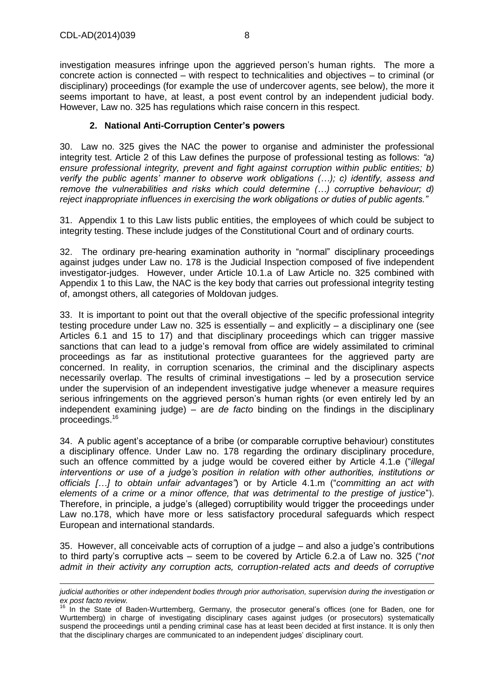investigation measures infringe upon the aggrieved person's human rights. The more a concrete action is connected – with respect to technicalities and objectives – to criminal (or disciplinary) proceedings (for example the use of undercover agents, see below), the more it seems important to have, at least, a post event control by an independent judicial body. However, Law no. 325 has regulations which raise concern in this respect.

### **2. National Anti-Corruption Center's powers**

<span id="page-7-0"></span>30. Law no. 325 gives the NAC the power to organise and administer the professional integrity test. Article 2 of this Law defines the purpose of professional testing as follows: *"a) ensure professional integrity, prevent and fight against corruption within public entities; b) verify the public agents' manner to observe work obligations (…); c) identify, assess and remove the vulnerabilities and risks which could determine (…) corruptive behaviour; d) reject inappropriate influences in exercising the work obligations or duties of public agents."*

31. Appendix 1 to this Law lists public entities, the employees of which could be subject to integrity testing. These include judges of the Constitutional Court and of ordinary courts.

32. The ordinary pre-hearing examination authority in "normal" disciplinary proceedings against judges under Law no. 178 is the Judicial Inspection composed of five independent investigator-judges. However, under Article 10.1.a of Law Article no. 325 combined with Appendix 1 to this Law, the NAC is the key body that carries out professional integrity testing of, amongst others, all categories of Moldovan judges.

33. It is important to point out that the overall objective of the specific professional integrity testing procedure under Law no. 325 is essentially – and explicitly – a disciplinary one (see Articles 6.1 and 15 to 17) and that disciplinary proceedings which can trigger massive sanctions that can lead to a judge's removal from office are widely assimilated to criminal proceedings as far as institutional protective guarantees for the aggrieved party are concerned. In reality, in corruption scenarios, the criminal and the disciplinary aspects necessarily overlap. The results of criminal investigations – led by a prosecution service under the supervision of an independent investigative judge whenever a measure requires serious infringements on the aggrieved person's human rights (or even entirely led by an independent examining judge) – are *de facto* binding on the findings in the disciplinary proceedings.<sup>16</sup>

34. A public agent's acceptance of a bribe (or comparable corruptive behaviour) constitutes a disciplinary offence. Under Law no. 178 regarding the ordinary disciplinary procedure, such an offence committed by a judge would be covered either by Article 4.1.e ("*illegal interventions or use of a judge's position in relation with other authorities, institutions or officials […] to obtain unfair advantages"*) or by Article 4.1.m ("*committing an act with elements of a crime or a minor offence, that was detrimental to the prestige of justice*"). Therefore, in principle, a judge's (alleged) corruptibility would trigger the proceedings under Law no.178, which have more or less satisfactory procedural safeguards which respect European and international standards.

35. However, all conceivable acts of corruption of a judge – and also a judge's contributions to third party's corruptive acts – seem to be covered by Article 6.2.a of Law no. 325 ("*not admit in their activity any corruption acts, corruption-related acts and deeds of corruptive* 

*judicial authorities or other independent bodies through prior authorisation, supervision during the investigatio*n *or ex post facto review.*

<sup>&</sup>lt;sup>16</sup> In the State of Baden-Wurttemberg, Germany, the prosecutor general's offices (one for Baden, one for Wurttemberg) in charge of investigating disciplinary cases against judges (or prosecutors) systematically suspend the proceedings until a pending criminal case has at least been decided at first instance. It is only then that the disciplinary charges are communicated to an independent judges' disciplinary court.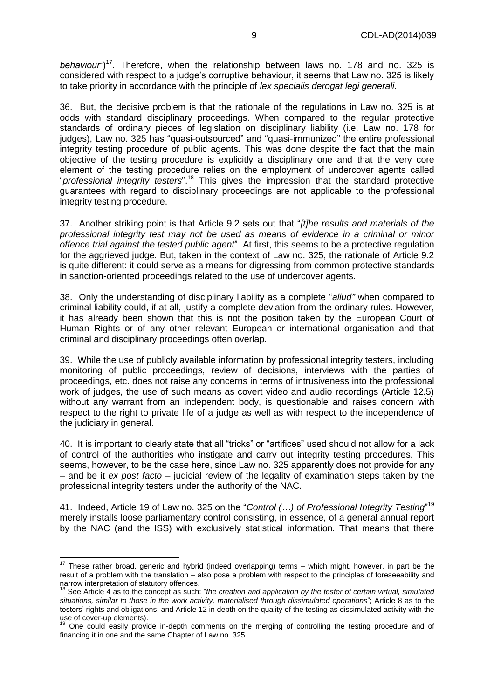behaviour")<sup>17</sup>. Therefore, when the relationship between laws no. 178 and no. 325 is considered with respect to a judge's corruptive behaviour, it seems that Law no. 325 is likely to take priority in accordance with the principle of *lex specialis derogat legi generali*.

36. But, the decisive problem is that the rationale of the regulations in Law no. 325 is at odds with standard disciplinary proceedings. When compared to the regular protective standards of ordinary pieces of legislation on disciplinary liability (i.e. Law no. 178 for judges), Law no. 325 has "quasi-outsourced" and "quasi-immunized" the entire professional integrity testing procedure of public agents. This was done despite the fact that the main objective of the testing procedure is explicitly a disciplinary one and that the very core element of the testing procedure relies on the employment of undercover agents called "professional integrity testers".<sup>18</sup> This gives the impression that the standard protective guarantees with regard to disciplinary proceedings are not applicable to the professional integrity testing procedure.

37. Another striking point is that Article 9.2 sets out that "*[t]he results and materials of the professional integrity test may not be used as means of evidence in a criminal or minor offence trial against the tested public agent*". At first, this seems to be a protective regulation for the aggrieved judge. But, taken in the context of Law no. 325, the rationale of Article 9.2 is quite different: it could serve as a means for digressing from common protective standards in sanction-oriented proceedings related to the use of undercover agents.

38. Only the understanding of disciplinary liability as a complete "*aliud"* when compared to criminal liability could, if at all, justify a complete deviation from the ordinary rules. However, it has already been shown that this is not the position taken by the European Court of Human Rights or of any other relevant European or international organisation and that criminal and disciplinary proceedings often overlap.

39. While the use of publicly available information by professional integrity testers, including monitoring of public proceedings, review of decisions, interviews with the parties of proceedings, etc. does not raise any concerns in terms of intrusiveness into the professional work of judges, the use of such means as covert video and audio recordings (Article 12.5) without any warrant from an independent body, is questionable and raises concern with respect to the right to private life of a judge as well as with respect to the independence of the judiciary in general.

40. It is important to clearly state that all "tricks" or "artifices" used should not allow for a lack of control of the authorities who instigate and carry out integrity testing procedures. This seems, however, to be the case here, since Law no. 325 apparently does not provide for any – and be it *ex post facto* – judicial review of the legality of examination steps taken by the professional integrity testers under the authority of the NAC.

41. Indeed, Article 19 of Law no. 325 on the "*Control (…) of Professional Integrity Testing*" 19 merely installs loose parliamentary control consisting, in essence, of a general annual report by the NAC (and the ISS) with exclusively statistical information. That means that there

 $\overline{a}$ 

 $17$  These rather broad, generic and hybrid (indeed overlapping) terms – which might, however, in part be the result of a problem with the translation – also pose a problem with respect to the principles of foreseeability and narrow interpretation of statutory offences.

<sup>18</sup> See Article 4 as to the concept as such: "*the creation and application by the tester of certain virtual, simulated situations, similar to those in the work activity, materialised through dissimulated operations*"; Article 8 as to the testers' rights and obligations; and Article 12 in depth on the quality of the testing as dissimulated activity with the use of cover-up elements).

<sup>&</sup>lt;sup>19</sup> One could easily provide in-depth comments on the merging of controlling the testing procedure and of financing it in one and the same Chapter of Law no. 325.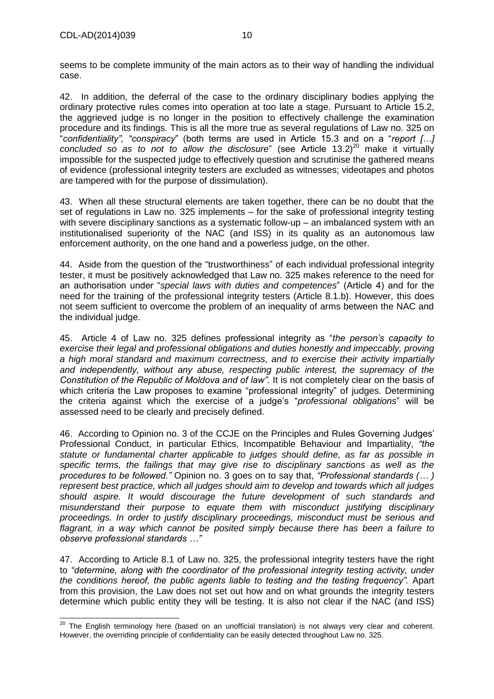seems to be complete immunity of the main actors as to their way of handling the individual case.

42. In addition, the deferral of the case to the ordinary disciplinary bodies applying the ordinary protective rules comes into operation at too late a stage. Pursuant to Article 15.2, the aggrieved judge is no longer in the position to effectively challenge the examination procedure and its findings. This is all the more true as several regulations of Law no. 325 on "*confidentiality", "conspiracy*" (both terms are used in Article 15.3 and on a "*report […] concluded so as to not to allow the disclosure*" (see Article 13.2) <sup>20</sup> make it virtually impossible for the suspected judge to effectively question and scrutinise the gathered means of evidence (professional integrity testers are excluded as witnesses; videotapes and photos are tampered with for the purpose of dissimulation).

43. When all these structural elements are taken together, there can be no doubt that the set of regulations in Law no. 325 implements – for the sake of professional integrity testing with severe disciplinary sanctions as a systematic follow-up – an imbalanced system with an institutionalised superiority of the NAC (and ISS) in its quality as an autonomous law enforcement authority, on the one hand and a powerless judge, on the other.

44. Aside from the question of the "trustworthiness" of each individual professional integrity tester, it must be positively acknowledged that Law no. 325 makes reference to the need for an authorisation under "*special laws with duties and competences*" (Article 4) and for the need for the training of the professional integrity testers (Article 8.1.b). However, this does not seem sufficient to overcome the problem of an inequality of arms between the NAC and the individual judge.

45. Article 4 of Law no. 325 defines professional integrity as "*the person's capacity to exercise their legal and professional obligations and duties honestly and impeccably, proving a high moral standard and maximum correctness, and to exercise their activity impartially and independently, without any abuse, respecting public interest, the supremacy of the Constitution of the Republic of Moldova and of law".* It is not completely clear on the basis of which criteria the Law proposes to examine "professional integrity" of judges. Determining the criteria against which the exercise of a judge's "*professional obligations*" will be assessed need to be clearly and precisely defined.

46. According to Opinion no. 3 of the CCJE on the Principles and Rules Governing Judges' Professional Conduct, in particular Ethics, Incompatible Behaviour and Impartiality, *"the statute or fundamental charter applicable to judges should define, as far as possible in specific terms, the failings that may give rise to disciplinary sanctions as well as the procedures to be followed."* Opinion no. 3 goes on to say that, *"Professional standards (… ) represent best practice, which all judges should aim to develop and towards which all judges should aspire. It would discourage the future development of such standards and misunderstand their purpose to equate them with misconduct justifying disciplinary proceedings. In order to justify disciplinary proceedings, misconduct must be serious and flagrant, in a way which cannot be posited simply because there has been a failure to observe professional standards …"*

47. According to Article 8.1 of Law no. 325, the professional integrity testers have the right to *"determine, along with the coordinator of the professional integrity testing activity, under the conditions hereof, the public agents liable to testing and the testing frequency".* Apart from this provision, the Law does not set out how and on what grounds the integrity testers determine which public entity they will be testing. It is also not clear if the NAC (and ISS)

 $\overline{\phantom{a}}$  $^{20}$  The English terminology here (based on an unofficial translation) is not always very clear and coherent. However, the overriding principle of confidentiality can be easily detected throughout Law no. 325.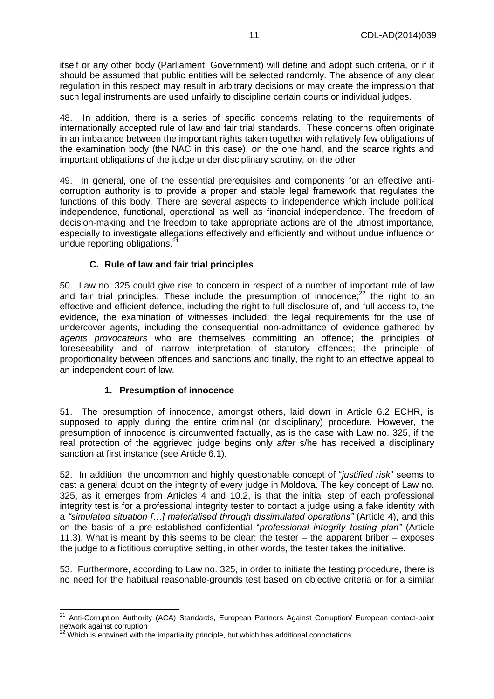itself or any other body (Parliament, Government) will define and adopt such criteria, or if it should be assumed that public entities will be selected randomly. The absence of any clear regulation in this respect may result in arbitrary decisions or may create the impression that such legal instruments are used unfairly to discipline certain courts or individual judges.

48. In addition, there is a series of specific concerns relating to the requirements of internationally accepted rule of law and fair trial standards. These concerns often originate in an imbalance between the important rights taken together with relatively few obligations of the examination body (the NAC in this case), on the one hand, and the scarce rights and important obligations of the judge under disciplinary scrutiny, on the other.

49. In general, one of the essential prerequisites and components for an effective anticorruption authority is to provide a proper and stable legal framework that regulates the functions of this body. There are several aspects to independence which include political independence, functional, operational as well as financial independence. The freedom of decision-making and the freedom to take appropriate actions are of the utmost importance, especially to investigate allegations effectively and efficiently and without undue influence or undue reporting obligations.<sup>2</sup>

#### **C. Rule of law and fair trial principles**

<span id="page-10-0"></span>50. Law no. 325 could give rise to concern in respect of a number of important rule of law and fair trial principles. These include the presumption of innocence; $^{22}$  the right to an effective and efficient defence, including the right to full disclosure of, and full access to, the evidence, the examination of witnesses included; the legal requirements for the use of undercover agents, including the consequential non-admittance of evidence gathered by *agents provocateurs* who are themselves committing an offence; the principles of foreseeability and of narrow interpretation of statutory offences; the principle of proportionality between offences and sanctions and finally, the right to an effective appeal to an independent court of law.

#### **1. Presumption of innocence**

<span id="page-10-1"></span>51. The presumption of innocence, amongst others, laid down in Article 6.2 ECHR, is supposed to apply during the entire criminal (or disciplinary) procedure. However, the presumption of innocence is circumvented factually, as is the case with Law no. 325, if the real protection of the aggrieved judge begins only *after* s/he has received a disciplinary sanction at first instance (see Article 6.1).

52. In addition, the uncommon and highly questionable concept of "*justified risk*" seems to cast a general doubt on the integrity of every judge in Moldova. The key concept of Law no. 325, as it emerges from Articles 4 and 10.2, is that the initial step of each professional integrity test is for a professional integrity tester to contact a judge using a fake identity with a *"simulated situation […] materialised through dissimulated operations"* (Article 4), and this on the basis of a pre-established confidential "*professional integrity testing plan"* (Article 11.3). What is meant by this seems to be clear: the tester – the apparent briber – exposes the judge to a fictitious corruptive setting, in other words, the tester takes the initiative.

53. Furthermore, according to Law no. 325, in order to initiate the testing procedure, there is no need for the habitual reasonable-grounds test based on objective criteria or for a similar

 <sup>21</sup> Anti-Corruption Authority (ACA) Standards, European Partners Against Corruption/ European contact-point network against corruption

Which is entwined with the impartiality principle, but which has additional connotations.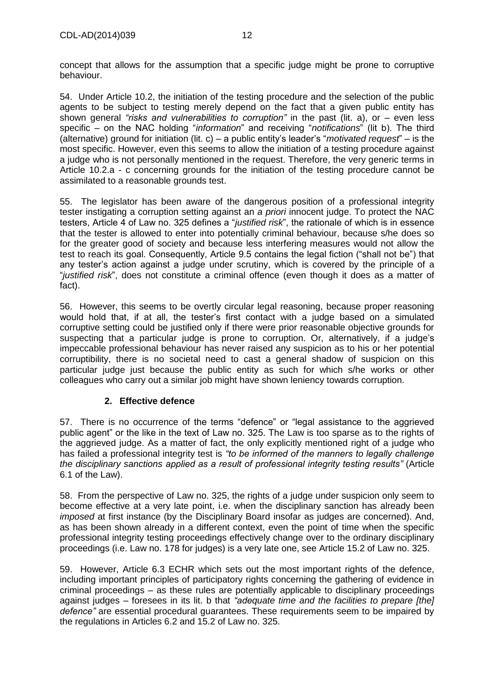concept that allows for the assumption that a specific judge might be prone to corruptive behaviour.

54. Under Article 10.2, the initiation of the testing procedure and the selection of the public agents to be subject to testing merely depend on the fact that a given public entity has shown general *"risks and vulnerabilities to corruption"* in the past (lit. a), or – even less specific – on the NAC holding "*information*" and receiving "*notifications*" (lit b). The third (alternative) ground for initiation (lit. c) – a public entity's leader's "*motivated request*" – is the most specific. However, even this seems to allow the initiation of a testing procedure against a judge who is not personally mentioned in the request. Therefore, the very generic terms in Article 10.2.a - c concerning grounds for the initiation of the testing procedure cannot be assimilated to a reasonable grounds test.

55. The legislator has been aware of the dangerous position of a professional integrity tester instigating a corruption setting against an *a priori* innocent judge. To protect the NAC testers, Article 4 of Law no. 325 defines a "*justified risk*", the rationale of which is in essence that the tester is allowed to enter into potentially criminal behaviour, because s/he does so for the greater good of society and because less interfering measures would not allow the test to reach its goal. Consequently, Article 9.5 contains the legal fiction ("shall not be") that any tester's action against a judge under scrutiny, which is covered by the principle of a "*justified risk*", does not constitute a criminal offence (even though it does as a matter of fact).

56. However, this seems to be overtly circular legal reasoning, because proper reasoning would hold that, if at all, the tester's first contact with a judge based on a simulated corruptive setting could be justified only if there were prior reasonable objective grounds for suspecting that a particular judge is prone to corruption. Or, alternatively, if a judge's impeccable professional behaviour has never raised any suspicion as to his or her potential corruptibility, there is no societal need to cast a general shadow of suspicion on this particular judge just because the public entity as such for which s/he works or other colleagues who carry out a similar job might have shown leniency towards corruption.

## **2. Effective defence**

<span id="page-11-0"></span>57. There is no occurrence of the terms "defence" or "legal assistance to the aggrieved public agent" or the like in the text of Law no. 325. The Law is too sparse as to the rights of the aggrieved judge. As a matter of fact, the only explicitly mentioned right of a judge who has failed a professional integrity test is *"to be informed of the manners to legally challenge the disciplinary sanctions applied as a result of professional integrity testing results"* (Article 6.1 of the Law).

58. From the perspective of Law no. 325, the rights of a judge under suspicion only seem to become effective at a very late point, i.e. when the disciplinary sanction has already been *imposed* at first instance (by the Disciplinary Board insofar as judges are concerned). And, as has been shown already in a different context, even the point of time when the specific professional integrity testing proceedings effectively change over to the ordinary disciplinary proceedings (i.e. Law no. 178 for judges) is a very late one, see Article 15.2 of Law no. 325.

59. However, Article 6.3 ECHR which sets out the most important rights of the defence, including important principles of participatory rights concerning the gathering of evidence in criminal proceedings – as these rules are potentially applicable to disciplinary proceedings against judges – foresees in its lit. b that *"adequate time and the facilities to prepare [the] defence"* are essential procedural guarantees. These requirements seem to be impaired by the regulations in Articles 6.2 and 15.2 of Law no. 325.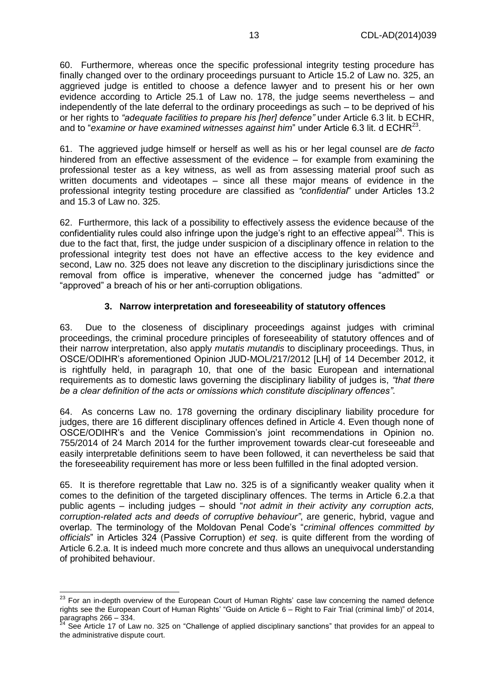60. Furthermore, whereas once the specific professional integrity testing procedure has finally changed over to the ordinary proceedings pursuant to Article 15.2 of Law no. 325, an aggrieved judge is entitled to choose a defence lawyer and to present his or her own evidence according to Article 25.1 of Law no. 178, the judge seems nevertheless – and independently of the late deferral to the ordinary proceedings as such – to be deprived of his or her rights to *"adequate facilities to prepare his [her] defence"* under Article 6.3 lit. b ECHR, and to "*examine or have examined witnesses against him*" under Article 6.3 lit. d ECHR<sup>23</sup>.

61. The aggrieved judge himself or herself as well as his or her legal counsel are *de facto* hindered from an effective assessment of the evidence – for example from examining the professional tester as a key witness, as well as from assessing material proof such as written documents and videotapes – since all these major means of evidence in the professional integrity testing procedure are classified as *"confidential*" under Articles 13.2 and 15.3 of Law no. 325.

62. Furthermore, this lack of a possibility to effectively assess the evidence because of the confidentiality rules could also infringe upon the judge's right to an effective appeal<sup>24</sup>. This is due to the fact that, first, the judge under suspicion of a disciplinary offence in relation to the professional integrity test does not have an effective access to the key evidence and second, Law no. 325 does not leave any discretion to the disciplinary jurisdictions since the removal from office is imperative, whenever the concerned judge has "admitted" or "approved" a breach of his or her anti-corruption obligations.

## **3. Narrow interpretation and foreseeability of statutory offences**

<span id="page-12-0"></span>63. Due to the closeness of disciplinary proceedings against judges with criminal proceedings, the criminal procedure principles of foreseeability of statutory offences and of their narrow interpretation, also apply *mutatis mutandis* to disciplinary proceedings. Thus, in OSCE/ODIHR's aforementioned Opinion JUD-MOL/217/2012 [LH] of 14 December 2012, it is rightfully held, in paragraph 10, that one of the basic European and international requirements as to domestic laws governing the disciplinary liability of judges is, *"that there be a clear definition of the acts or omissions which constitute disciplinary offences"*.

64. As concerns Law no. 178 governing the ordinary disciplinary liability procedure for judges, there are 16 different disciplinary offences defined in Article 4. Even though none of OSCE/ODIHR's and the Venice Commission's joint recommendations in Opinion no. 755/2014 of 24 March 2014 for the further improvement towards clear-cut foreseeable and easily interpretable definitions seem to have been followed, it can nevertheless be said that the foreseeability requirement has more or less been fulfilled in the final adopted version.

65. It is therefore regrettable that Law no. 325 is of a significantly weaker quality when it comes to the definition of the targeted disciplinary offences. The terms in Article 6.2.a that public agents – including judges – should "*not admit in their activity any corruption acts, corruption-related acts and deeds of corruptive behaviour"*, are generic, hybrid, vague and overlap. The terminology of the Moldovan Penal Code's "*criminal offences committed by officials*" in Articles 324 (Passive Corruption) *et seq*. is quite different from the wording of Article 6.2.a. It is indeed much more concrete and thus allows an unequivocal understanding of prohibited behaviour.

j  $^{23}$  For an in-depth overview of the European Court of Human Rights' case law concerning the named defence rights see the European Court of Human Rights' "Guide on Article 6 – Right to Fair Trial (criminal limb)" of 2014, paragraphs 266 – 334.

<sup>&</sup>lt;sup>24</sup> See Article 17 of Law no. 325 on "Challenge of applied disciplinary sanctions" that provides for an appeal to the administrative dispute court.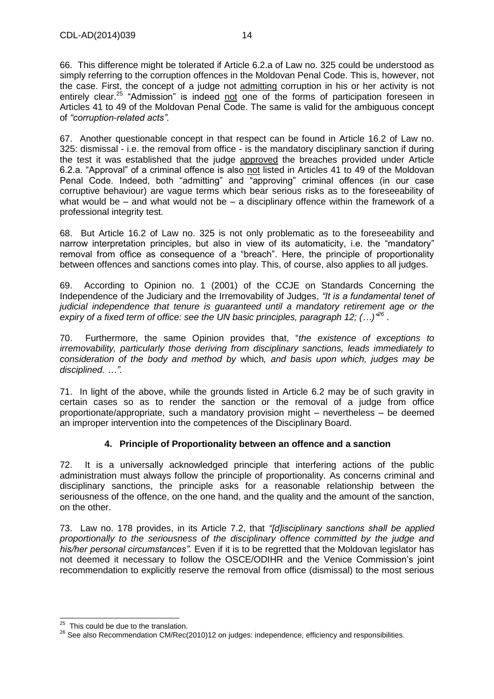66. This difference might be tolerated if Article 6.2.a of Law no. 325 could be understood as simply referring to the corruption offences in the Moldovan Penal Code. This is, however, not the case. First, the concept of a judge not admitting corruption in his or her activity is not entirely clear.<sup>25</sup> "Admission" is indeed not one of the forms of participation foreseen in Articles 41 to 49 of the Moldovan Penal Code. The same is valid for the ambiguous concept of *"corruption-related acts".*

67. Another questionable concept in that respect can be found in Article 16.2 of Law no. 325: dismissal - i.e. the removal from office - is the mandatory disciplinary sanction if during the test it was established that the judge approved the breaches provided under Article 6.2.a. "Approval" of a criminal offence is also not listed in Articles 41 to 49 of the Moldovan Penal Code. Indeed, both "admitting" and "approving" criminal offences (in our case corruptive behaviour) are vague terms which bear serious risks as to the foreseeability of what would be – and what would not be – a disciplinary offence within the framework of a professional integrity test.

68. But Article 16.2 of Law no. 325 is not only problematic as to the foreseeability and narrow interpretation principles, but also in view of its automaticity, i.e. the "mandatory" removal from office as consequence of a "breach". Here, the principle of proportionality between offences and sanctions comes into play. This, of course, also applies to all judges.

69. According to Opinion no. 1 (2001) of the CCJE on Standards Concerning the Independence of the Judiciary and the Irremovability of Judges, *"It is a fundamental tenet of judicial independence that tenure is guaranteed until a mandatory retirement age or the expiry of a fixed term of office: see the UN basic principles, paragraph 12; (…)" 26* .

70. Furthermore, the same Opinion provides that, "*the existence of exceptions to irremovability, particularly those deriving from disciplinary sanctions, leads immediately to consideration of the body and method by* which*, and basis upon which, judges may be disciplined. …".*

71. In light of the above, while the grounds listed in Article 6.2 may be of such gravity in certain cases so as to render the sanction or the removal of a judge from office proportionate/appropriate, such a mandatory provision might – nevertheless – be deemed an improper intervention into the competences of the Disciplinary Board.

## **4. Principle of Proportionality between an offence and a sanction**

<span id="page-13-0"></span>72. It is a universally acknowledged principle that interfering actions of the public administration must always follow the principle of proportionality. As concerns criminal and disciplinary sanctions, the principle asks for a reasonable relationship between the seriousness of the offence, on the one hand, and the quality and the amount of the sanction, on the other.

73. Law no. 178 provides, in its Article 7.2, that *"[d]isciplinary sanctions shall be applied proportionally to the seriousness of the disciplinary offence committed by the judge and his/her personal circumstances".* Even if it is to be regretted that the Moldovan legislator has not deemed it necessary to follow the OSCE/ODIHR and the Venice Commission's joint recommendation to explicitly reserve the removal from office (dismissal) to the most serious

<sup>&</sup>lt;sup>25</sup> This could be due to the translation.

<sup>&</sup>lt;sup>26</sup> See also Recommendation CM/Rec(2010)12 on judges: independence, efficiency and responsibilities.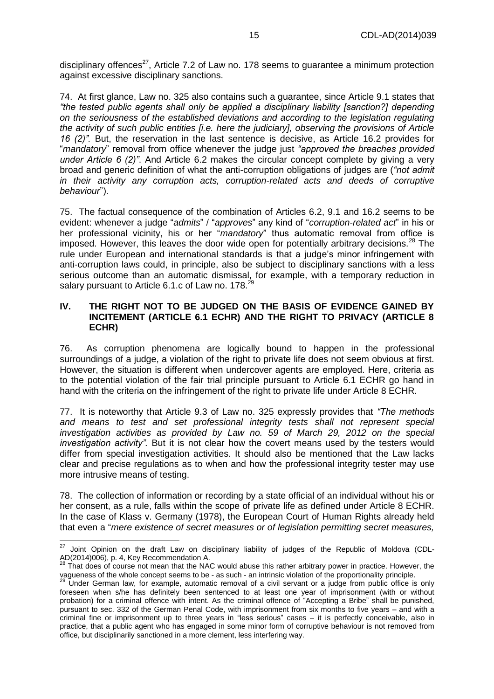disciplinary offences<sup>27</sup>, Article 7.2 of Law no. 178 seems to guarantee a minimum protection against excessive disciplinary sanctions.

74. At first glance, Law no. 325 also contains such a guarantee, since Article 9.1 states that *"the tested public agents shall only be applied a disciplinary liability [sanction?] depending on the seriousness of the established deviations and according to the legislation regulating the activity of such public entities [i.e. here the judiciary], observing the provisions of Article 16 (2)".* But, the reservation in the last sentence is decisive, as Article 16.2 provides for "*mandatory*" removal from office whenever the judge just *"approved the breaches provided under Article 6 (2)"*. And Article 6.2 makes the circular concept complete by giving a very broad and generic definition of what the anti-corruption obligations of judges are (*"not admit in their activity any corruption acts, corruption-related acts and deeds of corruptive behaviour*").

75. The factual consequence of the combination of Articles 6.2, 9.1 and 16.2 seems to be evident: whenever a judge "*admits*" / "*approves*" any kind of "*corruption-related act*" in his or her professional vicinity, his or her "*mandatory*" thus automatic removal from office is imposed. However, this leaves the door wide open for potentially arbitrary decisions.<sup>28</sup> The rule under European and international standards is that a judge's minor infringement with anti-corruption laws could, in principle, also be subject to disciplinary sanctions with a less serious outcome than an automatic dismissal, for example, with a temporary reduction in salary pursuant to Article 6.1.c of Law no. 178.<sup>29</sup>

#### <span id="page-14-0"></span>**IV. THE RIGHT NOT TO BE JUDGED ON THE BASIS OF EVIDENCE GAINED BY INCITEMENT (ARTICLE 6.1 ECHR) AND THE RIGHT TO PRIVACY (ARTICLE 8 ECHR)**

76. As corruption phenomena are logically bound to happen in the professional surroundings of a judge, a violation of the right to private life does not seem obvious at first. However, the situation is different when undercover agents are employed. Here, criteria as to the potential violation of the fair trial principle pursuant to Article 6.1 ECHR go hand in hand with the criteria on the infringement of the right to private life under Article 8 ECHR.

77. It is noteworthy that Article 9.3 of Law no. 325 expressly provides that *"The methods and means to test and set professional integrity tests shall not represent special investigation activities as provided by Law no. 59 of March 29, 2012 on the special investigation activity".* But it is not clear how the covert means used by the testers would differ from special investigation activities. It should also be mentioned that the Law lacks clear and precise regulations as to when and how the professional integrity tester may use more intrusive means of testing.

78. The collection of information or recording by a state official of an individual without his or her consent, as a rule, falls within the scope of private life as defined under Article 8 ECHR. In the case of Klass v. Germany (1978), the European Court of Human Rights already held that even a "*mere existence of secret measures or of legislation permitting secret measures,* 

 $\overline{a}$  $^{27}$  Joint Opinion on the draft Law on disciplinary liability of judges of the Republic of Moldova (CDL-AD(2014)006), p. 4, Key Recommendation A.

 $^{28}$  That does of course not mean that the NAC would abuse this rather arbitrary power in practice. However, the vagueness of the whole concept seems to be - as such - an intrinsic violation of the proportionality principle.

<sup>&</sup>lt;sup>29</sup> Under German law, for example, automatic removal of a civil servant or a judge from public office is only foreseen when s/he has definitely been sentenced to at least one year of imprisonment (with or without probation) for a criminal offence with intent. As the criminal offence of "Accepting a Bribe" shall be punished, pursuant to sec. 332 of the German Penal Code, with imprisonment from six months to five years – and with a criminal fine or imprisonment up to three years in "less serious" cases – it is perfectly conceivable, also in practice, that a public agent who has engaged in some minor form of corruptive behaviour is not removed from office, but disciplinarily sanctioned in a more clement, less interfering way.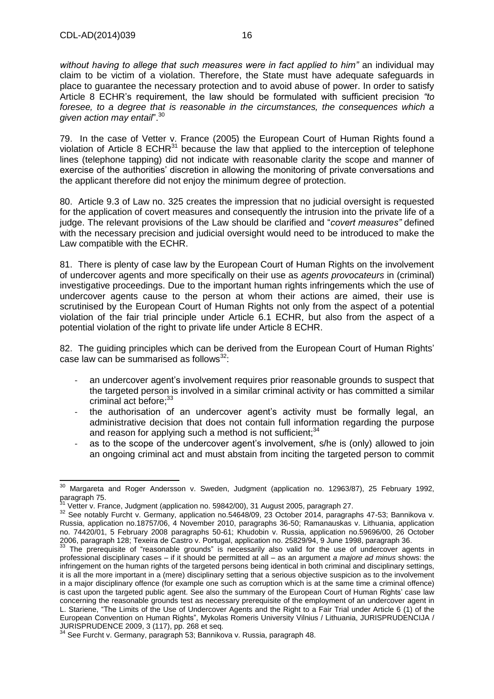*without having to allege that such measures were in fact applied to him"* an individual may claim to be victim of a violation. Therefore, the State must have adequate safeguards in place to guarantee the necessary protection and to avoid abuse of power. In order to satisfy Article 8 ECHR's requirement, the law should be formulated with sufficient precision *"to foresee, to a degree that is reasonable in the circumstances, the consequences which a given action may entail*".<sup>30</sup>

79. In the case of Vetter v. France (2005) the European Court of Human Rights found a violation of Article 8  $ECHR<sup>31</sup>$  because the law that applied to the interception of telephone lines (telephone tapping) did not indicate with reasonable clarity the scope and manner of exercise of the authorities' discretion in allowing the monitoring of private conversations and the applicant therefore did not enjoy the minimum degree of protection.

80. Article 9.3 of Law no. 325 creates the impression that no judicial oversight is requested for the application of covert measures and consequently the intrusion into the private life of a judge. The relevant provisions of the Law should be clarified and "*covert measures"* defined with the necessary precision and judicial oversight would need to be introduced to make the Law compatible with the ECHR.

81. There is plenty of case law by the European Court of Human Rights on the involvement of undercover agents and more specifically on their use as *agents provocateurs* in (criminal) investigative proceedings. Due to the important human rights infringements which the use of undercover agents cause to the person at whom their actions are aimed, their use is scrutinised by the European Court of Human Rights not only from the aspect of a potential violation of the fair trial principle under Article 6.1 ECHR, but also from the aspect of a potential violation of the right to private life under Article 8 ECHR.

82. The guiding principles which can be derived from the European Court of Human Rights' case law can be summarised as follows $^{32}$ :

- an undercover agent's involvement requires prior reasonable grounds to suspect that the targeted person is involved in a similar criminal activity or has committed a similar criminal act before; 33
- the authorisation of an undercover agent's activity must be formally legal, an administrative decision that does not contain full information regarding the purpose and reason for applying such a method is not sufficient;<sup>34</sup>
- as to the scope of the undercover agent's involvement, s/he is (only) allowed to join an ongoing criminal act and must abstain from inciting the targeted person to commit

j  $^{30}$  Margareta and Roger Andersson v. Sweden, Judgment (application no. 12963/87), 25 February 1992, paragraph 75.

<sup>31</sup> Vetter v. France, Judgment (application no. 59842/00), 31 August 2005, paragraph 27.

<sup>32</sup> See notably Furcht v. Germany, application no.54648/09, 23 October 2014, paragraphs 47-53; Bannikova v. Russia, application no.18757/06, 4 November 2010, paragraphs 36-50; Ramanauskas v. Lithuania, application no. 74420/01, 5 February 2008 paragraphs 50-61; Khudobin v. Russia, application no.59696/00, 26 October 2006, paragraph 128; Texeira de Castro v. Portugal, application no. 25829/94, 9 June 1998, paragraph 36.

 $33$  The prerequisite of "reasonable grounds" is necessarily also valid for the use of undercover agents in professional disciplinary cases – if it should be permitted at all – as an argument *a majore ad minus* shows: the infringement on the human rights of the targeted persons being identical in both criminal and disciplinary settings, it is all the more important in a (mere) disciplinary setting that a serious objective suspicion as to the involvement in a major disciplinary offence (for example one such as corruption which is at the same time a criminal offence) is cast upon the targeted public agent. See also the summary of the European Court of Human Rights' case law concerning the reasonable grounds test as necessary prerequisite of the employment of an undercover agent in L. Stariene, "The Limits of the Use of Undercover Agents and the Right to a Fair Trial under Article 6 (1) of the European Convention on Human Rights", Mykolas Romeris University Vilnius / Lithuania, JURISPRUDENCIJA / JURISPRUDENCE 2009, 3 (117), pp. 268 et seq.

 $\frac{1}{2}$  See Furcht v. Germany, paragraph 53; Bannikova v. Russia, paragraph 48.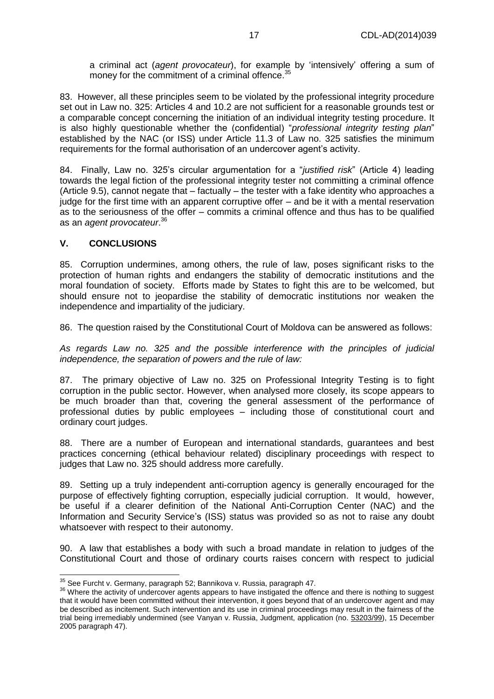a criminal act (*agent provocateur*), for example by 'intensively' offering a sum of money for the commitment of a criminal offence.<sup>35</sup>

83. However, all these principles seem to be violated by the professional integrity procedure set out in Law no. 325: Articles 4 and 10.2 are not sufficient for a reasonable grounds test or a comparable concept concerning the initiation of an individual integrity testing procedure. It is also highly questionable whether the (confidential) "*professional integrity testing plan*" established by the NAC (or ISS) under Article 11.3 of Law no. 325 satisfies the minimum requirements for the formal authorisation of an undercover agent's activity.

84. Finally, Law no. 325's circular argumentation for a "*justified risk*" (Article 4) leading towards the legal fiction of the professional integrity tester not committing a criminal offence (Article 9.5), cannot negate that – factually – the tester with a fake identity who approaches a judge for the first time with an apparent corruptive offer – and be it with a mental reservation as to the seriousness of the offer – commits a criminal offence and thus has to be qualified as an *agent provocateur*. 36

#### <span id="page-16-0"></span>**V. CONCLUSIONS**

j

85. Corruption undermines, among others, the rule of law, poses significant risks to the protection of human rights and endangers the stability of democratic institutions and the moral foundation of society. Efforts made by States to fight this are to be welcomed, but should ensure not to jeopardise the stability of democratic institutions nor weaken the independence and impartiality of the judiciary.

86. The question raised by the Constitutional Court of Moldova can be answered as follows:

*As regards Law no. 325 and the possible interference with the principles of judicial independence, the separation of powers and the rule of law:*

87. The primary objective of Law no. 325 on Professional Integrity Testing is to fight corruption in the public sector. However, when analysed more closely, its scope appears to be much broader than that, covering the general assessment of the performance of professional duties by public employees – including those of constitutional court and ordinary court judges.

88. There are a number of European and international standards, guarantees and best practices concerning (ethical behaviour related) disciplinary proceedings with respect to judges that Law no. 325 should address more carefully.

89. Setting up a truly independent anti-corruption agency is generally encouraged for the purpose of effectively fighting corruption, especially judicial corruption. It would, however, be useful if a clearer definition of the National Anti-Corruption Center (NAC) and the Information and Security Service's (ISS) status was provided so as not to raise any doubt whatsoever with respect to their autonomy.

90. A law that establishes a body with such a broad mandate in relation to judges of the Constitutional Court and those of ordinary courts raises concern with respect to judicial

 $\frac{35}{10}$  See Furcht v. Germany, paragraph 52; Bannikova v. Russia, paragraph 47.

<sup>&</sup>lt;sup>36</sup> Where the activity of undercover agents appears to have instigated the offence and there is nothing to suggest that it would have been committed without their intervention, it goes beyond that of an undercover agent and may be described as incitement. Such intervention and its use in criminal proceedings may result in the fairness of the trial being irremediably undermined (see Vanyan v. Russia, Judgment, application (no. [53203/99\)](http://hudoc.echr.coe.int/sites/eng/Pages/search.aspx#{"appno":["53203/99"]}), 15 December 2005 paragraph 47).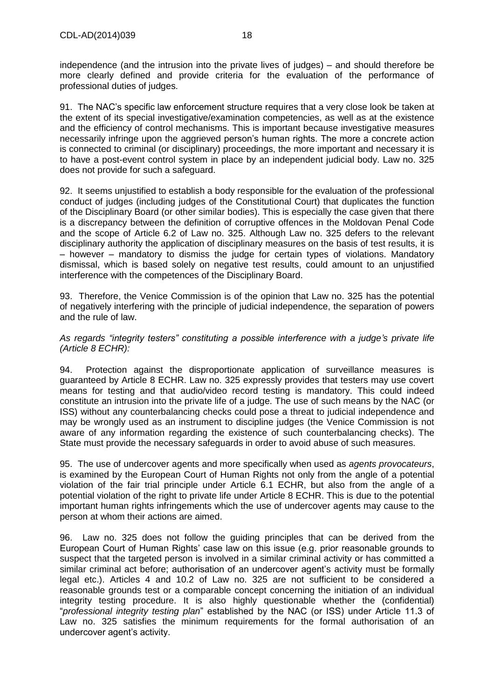independence (and the intrusion into the private lives of judges) – and should therefore be more clearly defined and provide criteria for the evaluation of the performance of professional duties of judges.

91. The NAC's specific law enforcement structure requires that a very close look be taken at the extent of its special investigative/examination competencies, as well as at the existence and the efficiency of control mechanisms. This is important because investigative measures necessarily infringe upon the aggrieved person's human rights. The more a concrete action is connected to criminal (or disciplinary) proceedings, the more important and necessary it is to have a post-event control system in place by an independent judicial body. Law no. 325 does not provide for such a safeguard.

92. It seems unjustified to establish a body responsible for the evaluation of the professional conduct of judges (including judges of the Constitutional Court) that duplicates the function of the Disciplinary Board (or other similar bodies). This is especially the case given that there is a discrepancy between the definition of corruptive offences in the Moldovan Penal Code and the scope of Article 6.2 of Law no. 325. Although Law no. 325 defers to the relevant disciplinary authority the application of disciplinary measures on the basis of test results, it is – however – mandatory to dismiss the judge for certain types of violations. Mandatory dismissal, which is based solely on negative test results, could amount to an unjustified interference with the competences of the Disciplinary Board.

93. Therefore, the Venice Commission is of the opinion that Law no. 325 has the potential of negatively interfering with the principle of judicial independence, the separation of powers and the rule of law.

*As regards "integrity testers" constituting a possible interference with a judge's private life (Article 8 ECHR):*

94. Protection against the disproportionate application of surveillance measures is guaranteed by Article 8 ECHR. Law no. 325 expressly provides that testers may use covert means for testing and that audio/video record testing is mandatory. This could indeed constitute an intrusion into the private life of a judge. The use of such means by the NAC (or ISS) without any counterbalancing checks could pose a threat to judicial independence and may be wrongly used as an instrument to discipline judges (the Venice Commission is not aware of any information regarding the existence of such counterbalancing checks). The State must provide the necessary safeguards in order to avoid abuse of such measures.

95. The use of undercover agents and more specifically when used as *agents provocateurs*, is examined by the European Court of Human Rights not only from the angle of a potential violation of the fair trial principle under Article 6.1 ECHR, but also from the angle of a potential violation of the right to private life under Article 8 ECHR. This is due to the potential important human rights infringements which the use of undercover agents may cause to the person at whom their actions are aimed.

96. Law no. 325 does not follow the guiding principles that can be derived from the European Court of Human Rights' case law on this issue (e.g. prior reasonable grounds to suspect that the targeted person is involved in a similar criminal activity or has committed a similar criminal act before; authorisation of an undercover agent's activity must be formally legal etc.). Articles 4 and 10.2 of Law no. 325 are not sufficient to be considered a reasonable grounds test or a comparable concept concerning the initiation of an individual integrity testing procedure. It is also highly questionable whether the (confidential) "*professional integrity testing plan*" established by the NAC (or ISS) under Article 11.3 of Law no. 325 satisfies the minimum requirements for the formal authorisation of an undercover agent's activity.